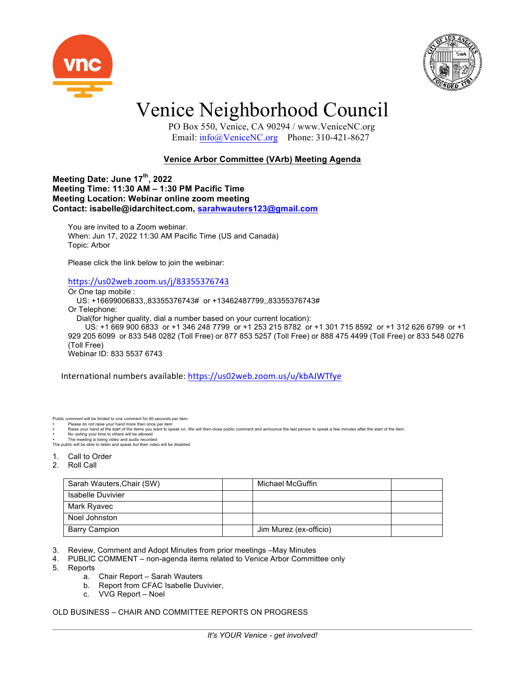



### Venice Neighborhood Council

 PO Box 550, Venice, CA 90294 / www.VeniceNC.org Email: info@VeniceNC.org Phone: 310-421-8627

### **Venice Arbor Committee (VArb) Meeting Agenda**

**Meeting Date: June 17th, 2022 Meeting Time: 11:30 AM – 1:30 PM Pacific Time Meeting Location: Webinar online zoom meeting Contact: isabelle@idarchitect.com, sarahwauters123@gmail.com**

You are invited to a Zoom webinar. When: Jun 17, 2022 11:30 AM Pacific Time (US and Canada) Topic: Arbor

Please click the link below to join the webinar:

#### https://us02web.zoom.us/j/83355376743

Or One tap mobile :

 US: +16699006833,,83355376743# or +13462487799,,83355376743# Or Telephone: Dial(for higher quality, dial a number based on your current location): US: +1 669 900 6833 or +1 346 248 7799 or +1 253 215 8782 or +1 301 715 8592 or +1 312 626 6799 or +1 929 205 6099 or 833 548 0282 (Toll Free) or 877 853 5257 (Toll Free) or 888 475 4499 (Toll Free) or 833 548 0276 (Toll Free) Webinar ID: 833 5537 6743

International numbers available: https://us02web.zoom.us/u/kbAJWTfye

Public comment will be limited to one comment for 60 seconds per item. Please do not raise your hand more then once per item

• Raise your hand at the start of the items you want to speak on. We will then close public comment and announce the last person to speak a few minutes after the start of the item.<br>• No ceding your time to others will be a

The public will be able to listen and speak but their video will be disabled.

- 1. Call to Order
- 2. Roll Call

| Sarah Wauters, Chair (SW) | Michael McGuffin       |  |
|---------------------------|------------------------|--|
| Isabelle Duvivier         |                        |  |
| Mark Ryavec               |                        |  |
| Noel Johnston             |                        |  |
| <b>Barry Campion</b>      | Jim Murez (ex-officio) |  |

3. Review, Comment and Adopt Minutes from prior meetings –May Minutes

- 4. PUBLIC COMMENT non-agenda items related to Venice Arbor Committee only
- 5. Reports
	- a. Chair Report Sarah Wauters
	- b. Report from CFAC Isabelle Duvivier,
	- c. VVG Report Noel

### OLD BUSINESS – CHAIR AND COMMITTEE REPORTS ON PROGRESS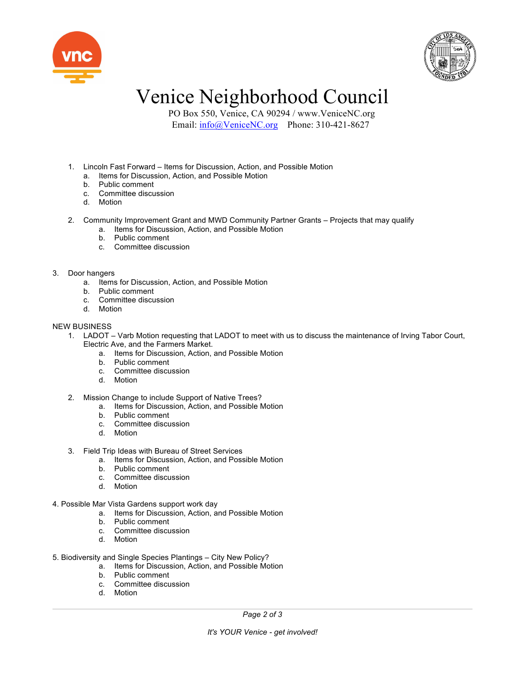



## Venice Neighborhood Council

 PO Box 550, Venice, CA 90294 / www.VeniceNC.org Email: info@VeniceNC.org Phone: 310-421-8627

- 1. Lincoln Fast Forward Items for Discussion, Action, and Possible Motion
	- a. Items for Discussion, Action, and Possible Motion
	- b. Public comment
	- c. Committee discussion
	- d. Motion
- 2. Community Improvement Grant and MWD Community Partner Grants Projects that may qualify
	- a. Items for Discussion, Action, and Possible Motion
	- b. Public comment
	- c. Committee discussion

3. Door hangers

- a. Items for Discussion, Action, and Possible Motion
- b. Public comment
- c. Committee discussion
- d. Motion

### NEW BUSINESS

- 1. LADOT Varb Motion requesting that LADOT to meet with us to discuss the maintenance of Irving Tabor Court, Electric Ave, and the Farmers Market.
	- a. Items for Discussion, Action, and Possible Motion
	- b. Public comment
	- c. Committee discussion
	- d. Motion
- 2. Mission Change to include Support of Native Trees?
	- a. Items for Discussion, Action, and Possible Motion
	- b. Public comment
	- c. Committee discussion
	- d. Motion
- 3. Field Trip Ideas with Bureau of Street Services
	- a. Items for Discussion, Action, and Possible Motion
	- b. Public comment
	- c. Committee discussion
	- d. Motion
- 4. Possible Mar Vista Gardens support work day
	- a. Items for Discussion, Action, and Possible Motion
	- b. Public comment
	- c. Committee discussion
	- d. Motion
- 5. Biodiversity and Single Species Plantings City New Policy?
	- a. Items for Discussion, Action, and Possible Motion
	- b. Public comment
	- c. Committee discussion
	- d. Motion